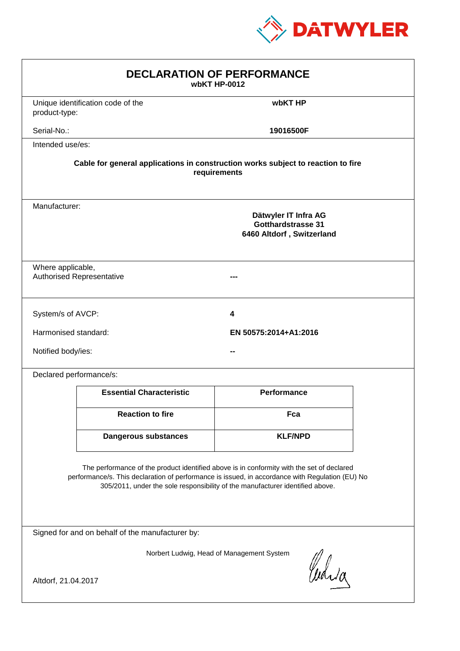

| <b>DECLARATION OF PERFORMANCE</b><br>wbKT HP-0012                                                                                                                                                                                                                             |                                                                                          |                       |  |  |  |
|-------------------------------------------------------------------------------------------------------------------------------------------------------------------------------------------------------------------------------------------------------------------------------|------------------------------------------------------------------------------------------|-----------------------|--|--|--|
| product-type:                                                                                                                                                                                                                                                                 | Unique identification code of the                                                        | wbKT HP               |  |  |  |
| Serial-No.:                                                                                                                                                                                                                                                                   |                                                                                          | 19016500F             |  |  |  |
| Intended use/es:                                                                                                                                                                                                                                                              |                                                                                          |                       |  |  |  |
| Cable for general applications in construction works subject to reaction to fire<br>requirements                                                                                                                                                                              |                                                                                          |                       |  |  |  |
|                                                                                                                                                                                                                                                                               | Manufacturer:<br>Dätwyler IT Infra AG<br>Gotthardstrasse 31<br>6460 Altdorf, Switzerland |                       |  |  |  |
|                                                                                                                                                                                                                                                                               | Where applicable,<br><b>Authorised Representative</b>                                    |                       |  |  |  |
| System/s of AVCP:                                                                                                                                                                                                                                                             |                                                                                          | 4                     |  |  |  |
| Harmonised standard:                                                                                                                                                                                                                                                          |                                                                                          | EN 50575:2014+A1:2016 |  |  |  |
| Notified body/ies:                                                                                                                                                                                                                                                            |                                                                                          |                       |  |  |  |
| Declared performance/s:                                                                                                                                                                                                                                                       |                                                                                          |                       |  |  |  |
|                                                                                                                                                                                                                                                                               | <b>Essential Characteristic</b>                                                          | <b>Performance</b>    |  |  |  |
|                                                                                                                                                                                                                                                                               | <b>Reaction to fire</b>                                                                  | Fca                   |  |  |  |
|                                                                                                                                                                                                                                                                               | <b>Dangerous substances</b>                                                              | <b>KLF/NPD</b>        |  |  |  |
| The performance of the product identified above is in conformity with the set of declared<br>performance/s. This declaration of performance is issued, in accordance with Regulation (EU) No<br>305/2011, under the sole responsibility of the manufacturer identified above. |                                                                                          |                       |  |  |  |
| Signed for and on behalf of the manufacturer by:                                                                                                                                                                                                                              |                                                                                          |                       |  |  |  |
| Norbert Ludwig, Head of Management System<br>Curia                                                                                                                                                                                                                            |                                                                                          |                       |  |  |  |
| Altdorf, 21.04.2017                                                                                                                                                                                                                                                           |                                                                                          |                       |  |  |  |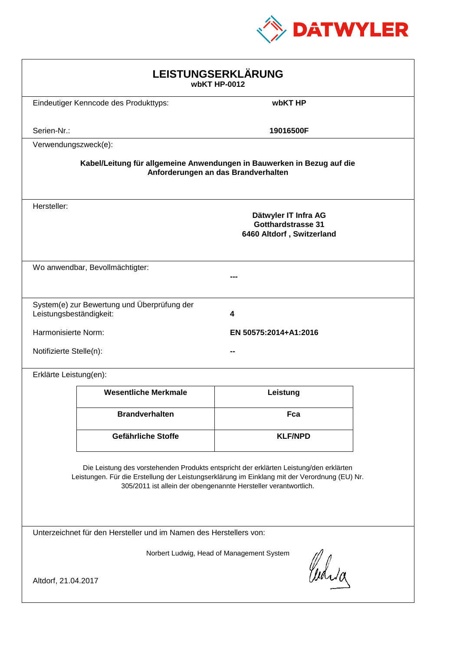

| LEISTUNGSERKLÄRUNG<br>wbKT HP-0012                                                                                                                                                                                                                         |                                              |                                                                                |  |  |
|------------------------------------------------------------------------------------------------------------------------------------------------------------------------------------------------------------------------------------------------------------|----------------------------------------------|--------------------------------------------------------------------------------|--|--|
|                                                                                                                                                                                                                                                            | Eindeutiger Kenncode des Produkttyps:        | wbKT HP                                                                        |  |  |
| Serien-Nr.:                                                                                                                                                                                                                                                |                                              | 19016500F                                                                      |  |  |
| Verwendungszweck(e):                                                                                                                                                                                                                                       |                                              |                                                                                |  |  |
| Kabel/Leitung für allgemeine Anwendungen in Bauwerken in Bezug auf die<br>Anforderungen an das Brandverhalten                                                                                                                                              |                                              |                                                                                |  |  |
| Hersteller:                                                                                                                                                                                                                                                |                                              | Dätwyler IT Infra AG<br><b>Gotthardstrasse 31</b><br>6460 Altdorf, Switzerland |  |  |
|                                                                                                                                                                                                                                                            | Wo anwendbar, Bevollmächtigter:              |                                                                                |  |  |
| System(e) zur Bewertung und Überprüfung der<br>Leistungsbeständigkeit:<br>4                                                                                                                                                                                |                                              |                                                                                |  |  |
|                                                                                                                                                                                                                                                            | Harmonisierte Norm:<br>EN 50575:2014+A1:2016 |                                                                                |  |  |
|                                                                                                                                                                                                                                                            | Notifizierte Stelle(n):                      |                                                                                |  |  |
| Erklärte Leistung(en):                                                                                                                                                                                                                                     |                                              |                                                                                |  |  |
|                                                                                                                                                                                                                                                            | <b>Wesentliche Merkmale</b>                  | Leistung                                                                       |  |  |
|                                                                                                                                                                                                                                                            | <b>Brandverhalten</b>                        | Fca                                                                            |  |  |
|                                                                                                                                                                                                                                                            | Gefährliche Stoffe                           | <b>KLF/NPD</b>                                                                 |  |  |
| Die Leistung des vorstehenden Produkts entspricht der erklärten Leistung/den erklärten<br>Leistungen. Für die Erstellung der Leistungserklärung im Einklang mit der Verordnung (EU) Nr.<br>305/2011 ist allein der obengenannte Hersteller verantwortlich. |                                              |                                                                                |  |  |
| Unterzeichnet für den Hersteller und im Namen des Herstellers von:                                                                                                                                                                                         |                                              |                                                                                |  |  |
| Norbert Ludwig, Head of Management System                                                                                                                                                                                                                  |                                              |                                                                                |  |  |
| Curica<br>Altdorf, 21.04.2017                                                                                                                                                                                                                              |                                              |                                                                                |  |  |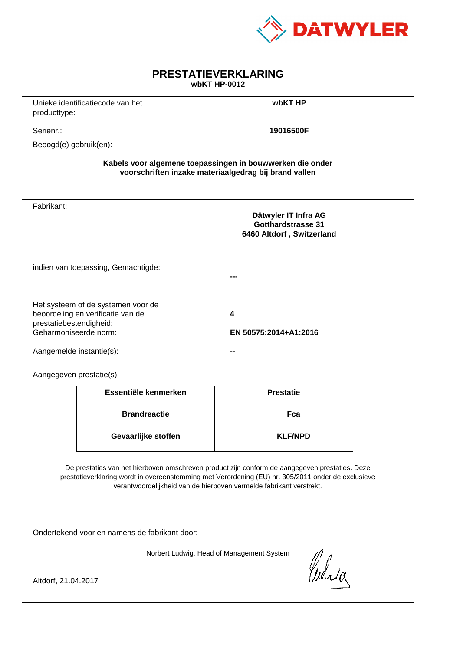

| <b>PRESTATIEVERKLARING</b><br>wbKT HP-0012                                                                                                                                                                                                                                  |                                     |                                                                                |  |  |  |
|-----------------------------------------------------------------------------------------------------------------------------------------------------------------------------------------------------------------------------------------------------------------------------|-------------------------------------|--------------------------------------------------------------------------------|--|--|--|
| producttype:                                                                                                                                                                                                                                                                | Unieke identificatiecode van het    | wbKT HP                                                                        |  |  |  |
| Serienr.:                                                                                                                                                                                                                                                                   |                                     | 19016500F                                                                      |  |  |  |
| Beoogd(e) gebruik(en):                                                                                                                                                                                                                                                      |                                     |                                                                                |  |  |  |
| Kabels voor algemene toepassingen in bouwwerken die onder<br>voorschriften inzake materiaalgedrag bij brand vallen                                                                                                                                                          |                                     |                                                                                |  |  |  |
| Fabrikant:                                                                                                                                                                                                                                                                  |                                     | Dätwyler IT Infra AG<br><b>Gotthardstrasse 31</b><br>6460 Altdorf, Switzerland |  |  |  |
|                                                                                                                                                                                                                                                                             | indien van toepassing, Gemachtigde: |                                                                                |  |  |  |
| Het systeem of de systemen voor de<br>beoordeling en verificatie van de<br>4<br>prestatiebestendigheid:<br>Geharmoniseerde norm:<br>EN 50575:2014+A1:2016<br>Aangemelde instantie(s):                                                                                       |                                     |                                                                                |  |  |  |
| Aangegeven prestatie(s)                                                                                                                                                                                                                                                     |                                     |                                                                                |  |  |  |
|                                                                                                                                                                                                                                                                             | Essentiële kenmerken                | <b>Prestatie</b>                                                               |  |  |  |
|                                                                                                                                                                                                                                                                             | <b>Brandreactie</b>                 | Fca                                                                            |  |  |  |
|                                                                                                                                                                                                                                                                             | Gevaarlijke stoffen                 | <b>KLF/NPD</b>                                                                 |  |  |  |
| De prestaties van het hierboven omschreven product zijn conform de aangegeven prestaties. Deze<br>prestatieverklaring wordt in overeenstemming met Verordening (EU) nr. 305/2011 onder de exclusieve<br>verantwoordelijkheid van de hierboven vermelde fabrikant verstrekt. |                                     |                                                                                |  |  |  |
| Ondertekend voor en namens de fabrikant door:                                                                                                                                                                                                                               |                                     |                                                                                |  |  |  |
| Norbert Ludwig, Head of Management System<br>Curia<br>Altdorf, 21.04.2017                                                                                                                                                                                                   |                                     |                                                                                |  |  |  |
|                                                                                                                                                                                                                                                                             |                                     |                                                                                |  |  |  |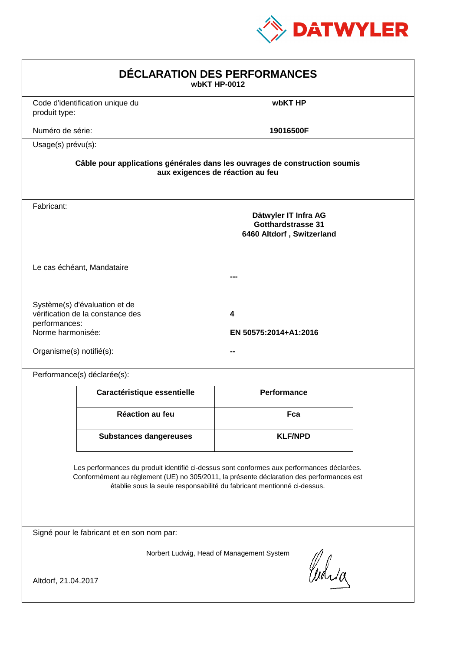

| DÉCLARATION DES PERFORMANCES<br>wbKT HP-0012                   |                                                                   |                                                                                                                                                                                                                                                                  |  |
|----------------------------------------------------------------|-------------------------------------------------------------------|------------------------------------------------------------------------------------------------------------------------------------------------------------------------------------------------------------------------------------------------------------------|--|
| produit type:                                                  | Code d'identification unique du                                   | wbKT HP                                                                                                                                                                                                                                                          |  |
| Numéro de série:                                               |                                                                   | 19016500F                                                                                                                                                                                                                                                        |  |
| Usage(s) prévu(s):                                             |                                                                   |                                                                                                                                                                                                                                                                  |  |
|                                                                |                                                                   | Câble pour applications générales dans les ouvrages de construction soumis<br>aux exigences de réaction au feu                                                                                                                                                   |  |
| Fabricant:                                                     |                                                                   | Dätwyler IT Infra AG<br><b>Gotthardstrasse 31</b><br>6460 Altdorf, Switzerland                                                                                                                                                                                   |  |
|                                                                | Le cas échéant, Mandataire                                        |                                                                                                                                                                                                                                                                  |  |
| performances:<br>Norme harmonisée:<br>Organisme(s) notifié(s): | Système(s) d'évaluation et de<br>vérification de la constance des | 4<br>EN 50575:2014+A1:2016                                                                                                                                                                                                                                       |  |
|                                                                | Performance(s) déclarée(s):                                       |                                                                                                                                                                                                                                                                  |  |
|                                                                | Caractéristique essentielle                                       | <b>Performance</b>                                                                                                                                                                                                                                               |  |
|                                                                | <b>Réaction au feu</b>                                            | Fca                                                                                                                                                                                                                                                              |  |
|                                                                | <b>Substances dangereuses</b>                                     | <b>KLF/NPD</b>                                                                                                                                                                                                                                                   |  |
|                                                                |                                                                   | Les performances du produit identifié ci-dessus sont conformes aux performances déclarées.<br>Conformément au règlement (UE) no 305/2011, la présente déclaration des performances est<br>établie sous la seule responsabilité du fabricant mentionné ci-dessus. |  |
|                                                                | Signé pour le fabricant et en son nom par:                        |                                                                                                                                                                                                                                                                  |  |
| Altdorf, 21.04.2017                                            |                                                                   | Norbert Ludwig, Head of Management System<br>Curia                                                                                                                                                                                                               |  |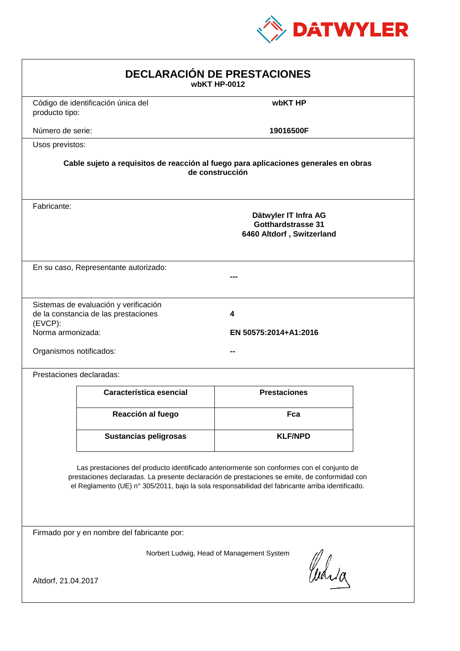

| <b>DECLARACIÓN DE PRESTACIONES</b><br>wbKT HP-0012                                                                                                                                                                                                                                             |                                                                                                        |                     |  |  |  |
|------------------------------------------------------------------------------------------------------------------------------------------------------------------------------------------------------------------------------------------------------------------------------------------------|--------------------------------------------------------------------------------------------------------|---------------------|--|--|--|
| producto tipo:                                                                                                                                                                                                                                                                                 | Código de identificación única del                                                                     | wbKT HP             |  |  |  |
| Número de serie:                                                                                                                                                                                                                                                                               |                                                                                                        | 19016500F           |  |  |  |
| Usos previstos:                                                                                                                                                                                                                                                                                |                                                                                                        |                     |  |  |  |
|                                                                                                                                                                                                                                                                                                | Cable sujeto a requisitos de reacción al fuego para aplicaciones generales en obras<br>de construcción |                     |  |  |  |
| Fabricante:                                                                                                                                                                                                                                                                                    | Dätwyler IT Infra AG<br>Gotthardstrasse 31<br>6460 Altdorf, Switzerland                                |                     |  |  |  |
|                                                                                                                                                                                                                                                                                                | En su caso, Representante autorizado:                                                                  |                     |  |  |  |
| Sistemas de evaluación y verificación<br>de la constancia de las prestaciones<br>4<br>$(EVCP)$ :<br>Norma armonizada:<br>EN 50575:2014+A1:2016<br>Organismos notificados:                                                                                                                      |                                                                                                        |                     |  |  |  |
|                                                                                                                                                                                                                                                                                                | Prestaciones declaradas:                                                                               |                     |  |  |  |
|                                                                                                                                                                                                                                                                                                | Característica esencial                                                                                | <b>Prestaciones</b> |  |  |  |
|                                                                                                                                                                                                                                                                                                | Reacción al fuego                                                                                      | Fca                 |  |  |  |
|                                                                                                                                                                                                                                                                                                | <b>Sustancias peligrosas</b>                                                                           | <b>KLF/NPD</b>      |  |  |  |
| Las prestaciones del producto identificado anteriormente son conformes con el conjunto de<br>prestaciones declaradas. La presente declaración de prestaciones se emite, de conformidad con<br>el Reglamento (UE) nº 305/2011, bajo la sola responsabilidad del fabricante arriba identificado. |                                                                                                        |                     |  |  |  |
|                                                                                                                                                                                                                                                                                                | Firmado por y en nombre del fabricante por:                                                            |                     |  |  |  |
| Norbert Ludwig, Head of Management System<br>anda<br>Altdorf, 21.04.2017                                                                                                                                                                                                                       |                                                                                                        |                     |  |  |  |